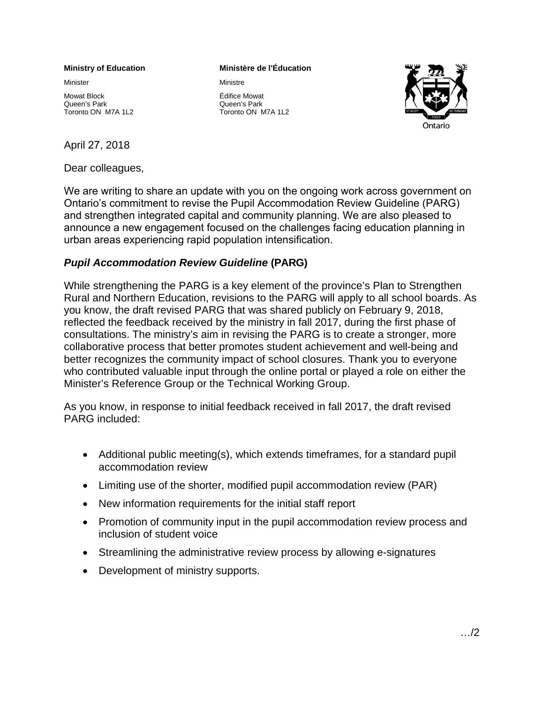#### **Ministry of Education**

Minister

Mowat Block Queen's Park Toronto ON M7A 1L2

## April 27, 2018

Dear colleagues,

#### **Ministère de l'Éducation**

Ministre

Édifice Mowat Queen's Park Toronto ON M7A 1L2



We are writing to share an update with you on the ongoing work across government on Ontario's [commitment to revise the Pupil Accommodation R](http://www.edu.gov.on.ca/eng/parents/rural_plan.html)eview Guideline (PARG) and strengthen integrated capital and community planning. We are also pleased to announce a new engagement focused on the challenges facing education planning in urban areas experiencing rapid population intensification.

# *Pupil Accommodation Review Guideline* **(PARG)**

While strengthening the PARG is a key element of the province's Plan to Strengthen Rural and Northern Education, revisions to the PARG will apply to all school boards. As you know, the draft revised PARG that was shared publicly on February 9, 2018, reflected the feedback received by the ministry in fall 2017, during the first phase of consultations. The ministry's aim in revising the PARG is to create a stronger, more collaborative process that better promotes student achievement and well-being and better recognizes the community impact of school closures. Thank you to everyone who contributed valuable input through the online portal or played a role on either the Minister's Reference Group or the Technical Working Group.

As you know, in response to initial feedback received in fall 2017, the draft revised PARG included:

- Additional public meeting(s), which extends timeframes, for a standard pupil accommodation review
- Limiting use of the shorter, modified pupil accommodation review (PAR)
- New information requirements for the initial staff report
- Promotion of community input in the pupil accommodation review process and inclusion of student voice
- Streamlining the administrative review process by allowing e-signatures
- Development of ministry supports.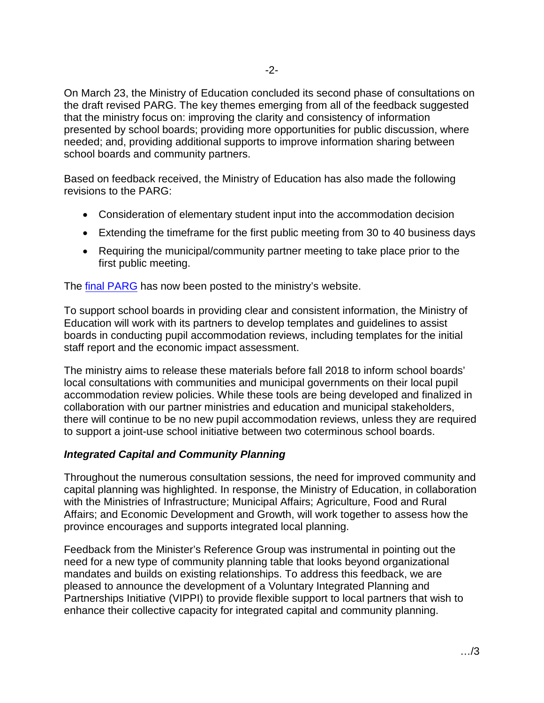On March 23, the Ministry of Education concluded its second phase of consultations on the draft revised PARG. The key themes emerging from all of the feedback suggested that the ministry focus on: improving the clarity and consistency of information presented by school boards; providing more opportunities for public discussion, where needed; and, providing additional supports to improve information sharing between school boards and community partners.

Based on feedback received, the Ministry of Education has also made the following revisions to the PARG:

- Consideration of elementary student input into the accommodation decision
- Extending the timeframe for the first public meeting from 30 to 40 business days
- Requiring the municipal/community partner meeting to take place prior to the first public meeting.

The final [PARG](http://www.edu.gov.on.ca/eng/policyfunding/reviewguide.html) has now been posted to the ministry's website.

To support school boards in providing clear and consistent information, the Ministry of Education will work with its partners to develop templates and guidelines to assist boards in conducting pupil accommodation reviews, including templates for the initial staff report and the economic impact assessment.

The ministry aims to release these materials before fall 2018 to inform school boards' local consultations with communities and municipal governments on their local pupil accommodation review policies. While these tools are being developed and finalized in collaboration with our partner ministries and education and municipal stakeholders, there will continue to be no new pupil accommodation reviews, unless they are required to support a joint-use school initiative between two coterminous school boards.

## *Integrated Capital and Community Planning*

Throughout the numerous consultation sessions, the need for improved community and capital planning was highlighted. In response, the Ministry of Education, in collaboration with the Ministries of Infrastructure; Municipal Affairs; Agriculture, Food and Rural Affairs; and Economic Development and Growth, will work together to assess how the province encourages and supports integrated local planning.

Feedback from the Minister's Reference Group was instrumental in pointing out the need for a new type of community planning table that looks beyond organizational mandates and builds on existing relationships. To address this feedback, we are pleased to announce the development of a Voluntary Integrated Planning and Partnerships Initiative (VIPPI) to provide flexible support to local partners that wish to enhance their collective capacity for integrated capital and community planning.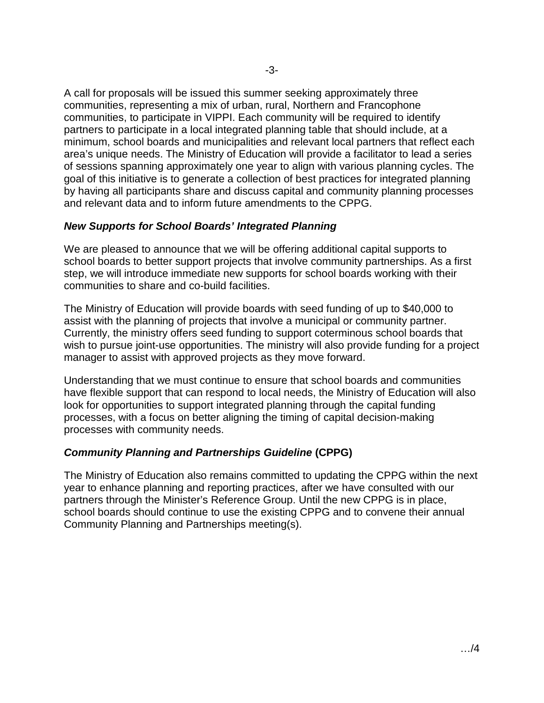A call for proposals will be issued this summer seeking approximately three communities, representing a mix of urban, rural, Northern and Francophone communities, to participate in VIPPI. Each community will be required to identify partners to participate in a local integrated planning table that should include, at a minimum, school boards and municipalities and relevant local partners that reflect each area's unique needs. The Ministry of Education will provide a facilitator to lead a series of sessions spanning approximately one year to align with various planning cycles. The goal of this initiative is to generate a collection of best practices for integrated planning by having all participants share and discuss capital and community planning processes and relevant data and to inform future amendments to the CPPG.

## *New Supports for School Boards' Integrated Planning*

We are pleased to announce that we will be offering additional capital supports to school boards to better support projects that involve community partnerships. As a first step, we will introduce immediate new supports for school boards working with their communities to share and co-build facilities.

The Ministry of Education will provide boards with seed funding of up to \$40,000 to assist with the planning of projects that involve a municipal or community partner. Currently, the ministry offers seed funding to support coterminous school boards that wish to pursue joint-use opportunities. The ministry will also provide funding for a project manager to assist with approved projects as they move forward.

Understanding that we must continue to ensure that school boards and communities have flexible support that can respond to local needs, the Ministry of Education will also look for opportunities to support integrated planning through the capital funding processes, with a focus on better aligning the timing of capital decision-making processes with community needs.

# *Community Planning and Partnerships Guideline* **(CPPG)**

The Ministry of Education also remains committed to updating the CPPG within the next year to enhance planning and reporting practices, after we have consulted with our partners through the Minister's Reference Group. Until the new CPPG is in place, school boards should continue to use the existing CPPG and to convene their annual Community Planning and Partnerships meeting(s).